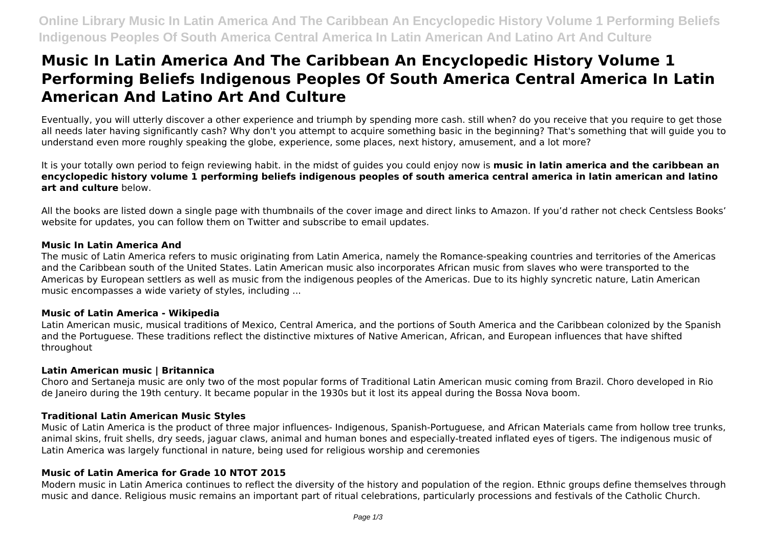# **Music In Latin America And The Caribbean An Encyclopedic History Volume 1 Performing Beliefs Indigenous Peoples Of South America Central America In Latin American And Latino Art And Culture**

Eventually, you will utterly discover a other experience and triumph by spending more cash. still when? do you receive that you require to get those all needs later having significantly cash? Why don't you attempt to acquire something basic in the beginning? That's something that will guide you to understand even more roughly speaking the globe, experience, some places, next history, amusement, and a lot more?

It is your totally own period to feign reviewing habit. in the midst of guides you could enjoy now is **music in latin america and the caribbean an encyclopedic history volume 1 performing beliefs indigenous peoples of south america central america in latin american and latino art and culture** below.

All the books are listed down a single page with thumbnails of the cover image and direct links to Amazon. If you'd rather not check Centsless Books' website for updates, you can follow them on Twitter and subscribe to email updates.

#### **Music In Latin America And**

The music of Latin America refers to music originating from Latin America, namely the Romance-speaking countries and territories of the Americas and the Caribbean south of the United States. Latin American music also incorporates African music from slaves who were transported to the Americas by European settlers as well as music from the indigenous peoples of the Americas. Due to its highly syncretic nature, Latin American music encompasses a wide variety of styles, including ...

#### **Music of Latin America - Wikipedia**

Latin American music, musical traditions of Mexico, Central America, and the portions of South America and the Caribbean colonized by the Spanish and the Portuguese. These traditions reflect the distinctive mixtures of Native American, African, and European influences that have shifted throughout

#### **Latin American music | Britannica**

Choro and Sertaneja music are only two of the most popular forms of Traditional Latin American music coming from Brazil. Choro developed in Rio de Janeiro during the 19th century. It became popular in the 1930s but it lost its appeal during the Bossa Nova boom.

# **Traditional Latin American Music Styles**

Music of Latin America is the product of three major influences- Indigenous, Spanish-Portuguese, and African Materials came from hollow tree trunks, animal skins, fruit shells, dry seeds, jaguar claws, animal and human bones and especially-treated inflated eyes of tigers. The indigenous music of Latin America was largely functional in nature, being used for religious worship and ceremonies

# **Music of Latin America for Grade 10 NTOT 2015**

Modern music in Latin America continues to reflect the diversity of the history and population of the region. Ethnic groups define themselves through music and dance. Religious music remains an important part of ritual celebrations, particularly processions and festivals of the Catholic Church.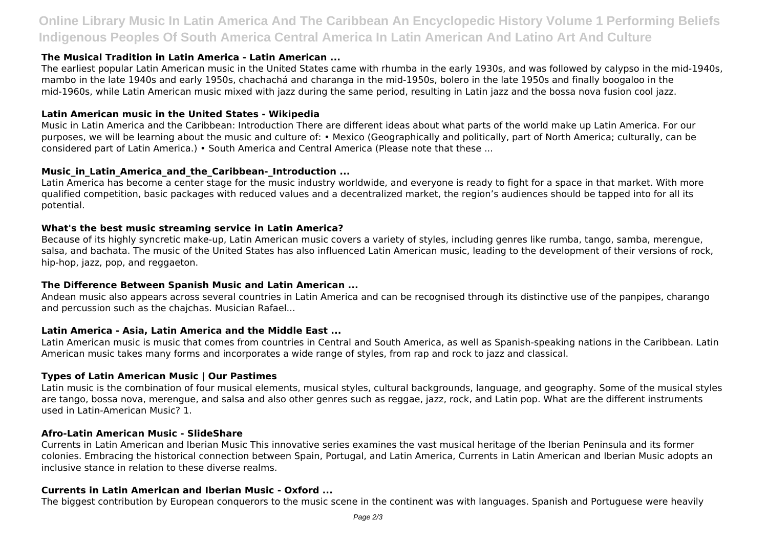# **Online Library Music In Latin America And The Caribbean An Encyclopedic History Volume 1 Performing Beliefs Indigenous Peoples Of South America Central America In Latin American And Latino Art And Culture**

#### **The Musical Tradition in Latin America - Latin American ...**

The earliest popular Latin American music in the United States came with rhumba in the early 1930s, and was followed by calypso in the mid-1940s, mambo in the late 1940s and early 1950s, chachachá and charanga in the mid-1950s, bolero in the late 1950s and finally boogaloo in the mid-1960s, while Latin American music mixed with jazz during the same period, resulting in Latin jazz and the bossa nova fusion cool jazz.

#### **Latin American music in the United States - Wikipedia**

Music in Latin America and the Caribbean: Introduction There are different ideas about what parts of the world make up Latin America. For our purposes, we will be learning about the music and culture of: • Mexico (Geographically and politically, part of North America; culturally, can be considered part of Latin America.) • South America and Central America (Please note that these ...

#### **Music** in Latin America and the Caribbean- Introduction ...

Latin America has become a center stage for the music industry worldwide, and everyone is ready to fight for a space in that market. With more qualified competition, basic packages with reduced values and a decentralized market, the region's audiences should be tapped into for all its potential.

#### **What's the best music streaming service in Latin America?**

Because of its highly syncretic make-up, Latin American music covers a variety of styles, including genres like rumba, tango, samba, merengue, salsa, and bachata. The music of the United States has also influenced Latin American music, leading to the development of their versions of rock, hip-hop, jazz, pop, and reggaeton.

#### **The Difference Between Spanish Music and Latin American ...**

Andean music also appears across several countries in Latin America and can be recognised through its distinctive use of the panpipes, charango and percussion such as the chajchas. Musician Rafael...

# **Latin America - Asia, Latin America and the Middle East ...**

Latin American music is music that comes from countries in Central and South America, as well as Spanish-speaking nations in the Caribbean. Latin American music takes many forms and incorporates a wide range of styles, from rap and rock to jazz and classical.

# **Types of Latin American Music | Our Pastimes**

Latin music is the combination of four musical elements, musical styles, cultural backgrounds, language, and geography. Some of the musical styles are tango, bossa nova, merengue, and salsa and also other genres such as reggae, jazz, rock, and Latin pop. What are the different instruments used in Latin-American Music? 1.

#### **Afro-Latin American Music - SlideShare**

Currents in Latin American and Iberian Music This innovative series examines the vast musical heritage of the Iberian Peninsula and its former colonies. Embracing the historical connection between Spain, Portugal, and Latin America, Currents in Latin American and Iberian Music adopts an inclusive stance in relation to these diverse realms.

#### **Currents in Latin American and Iberian Music - Oxford ...**

The biggest contribution by European conquerors to the music scene in the continent was with languages. Spanish and Portuguese were heavily